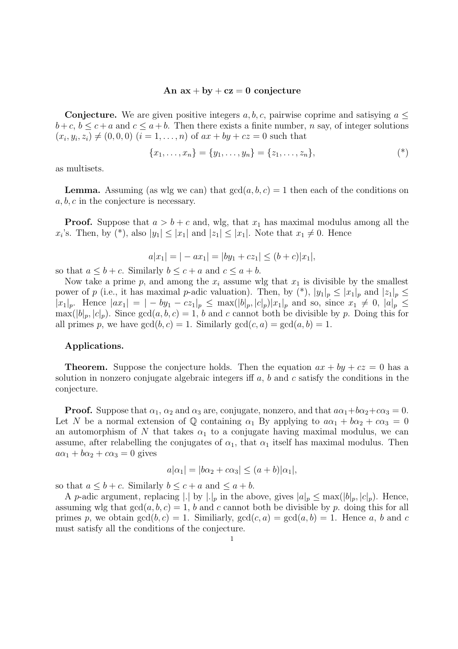## An  $ax + by + cz = 0$  conjecture

**Conjecture.** We are given positive integers  $a, b, c$ , pairwise coprime and satisying  $a \leq$  $b+c, b \leq c+a$  and  $c \leq a+b$ . Then there exists a finite number, *n* say, of integer solutions  $(x_i, y_i, z_i) \neq (0, 0, 0)$   $(i = 1, \ldots, n)$  of  $ax + by + cz = 0$  such that

$$
\{x_1, \ldots, x_n\} = \{y_1, \ldots, y_n\} = \{z_1, \ldots, z_n\},\tag{*}
$$

as multisets.

**Lemma.** Assuming (as wlg we can) that  $gcd(a, b, c) = 1$  then each of the conditions on a, b, c in the conjecture is necessary.

**Proof.** Suppose that  $a > b + c$  and, wlg, that  $x_1$  has maximal modulus among all the  $x_i$ 's. Then, by (\*), also  $|y_1| \le |x_1|$  and  $|z_1| \le |x_1|$ . Note that  $x_1 \ne 0$ . Hence

$$
a|x_1| = |-ax_1| = |by_1 + cz_1| \le (b+c)|x_1|,
$$

so that  $a \leq b + c$ . Similarly  $b \leq c + a$  and  $c \leq a + b$ .

Now take a prime p, and among the  $x_i$  assume wlg that  $x_1$  is divisible by the smallest power of p (i.e., it has maximal p-adic valuation). Then, by  $(*)$ ,  $|y_1|_p \leq |x_1|_p$  and  $|z_1|_p \leq$  $|x_1|_p$ . Hence  $|ax_1| = |-by_1 - cz_1|_p \le \max(|b|_p, |c|_p)|x_1|_p$  and so, since  $x_1 \ne 0, |a|_p \le$  $\max(|b|_p, |c|_p)$ . Since  $gcd(a, b, c) = 1$ , b and c cannot both be divisible by p. Doing this for all primes p, we have  $gcd(b, c) = 1$ . Similarly  $gcd(c, a) = gcd(a, b) = 1$ .

## Applications.

**Theorem.** Suppose the conjecture holds. Then the equation  $ax + by + cz = 0$  has a solution in nonzero conjugate algebraic integers iff  $a, b$  and c satisfy the conditions in the conjecture.

**Proof.** Suppose that  $\alpha_1$ ,  $\alpha_2$  and  $\alpha_3$  are, conjugate, nonzero, and that  $a\alpha_1+b\alpha_2+c\alpha_3=0$ . Let N be a normal extension of Q containing  $\alpha_1$  By applying to  $a\alpha_1 + b\alpha_2 + c\alpha_3 = 0$ an automorphism of N that takes  $\alpha_1$  to a conjugate having maximal modulus, we can assume, after relabelling the conjugates of  $\alpha_1$ , that  $\alpha_1$  itself has maximal modulus. Then  $a\alpha_1 + b\alpha_2 + c\alpha_3 = 0$  gives

$$
a|\alpha_1| = |b\alpha_2 + c\alpha_3| \le (a+b)|\alpha_1|,
$$

so that  $a \leq b + c$ . Similarly  $b \leq c + a$  and  $\leq a + b$ .

A p-adic argument, replacing |.| by  $|.|_p$  in the above, gives  $|a|_p \leq \max(|b|_p, |c|_p)$ . Hence, assuming wlg that  $gcd(a, b, c) = 1$ , b and c cannot both be divisible by p. doing this for all primes p, we obtain  $gcd(b, c) = 1$ . Similiarly,  $gcd(c, a) = gcd(a, b) = 1$ . Hence a, b and c must satisfy all the conditions of the conjecture.